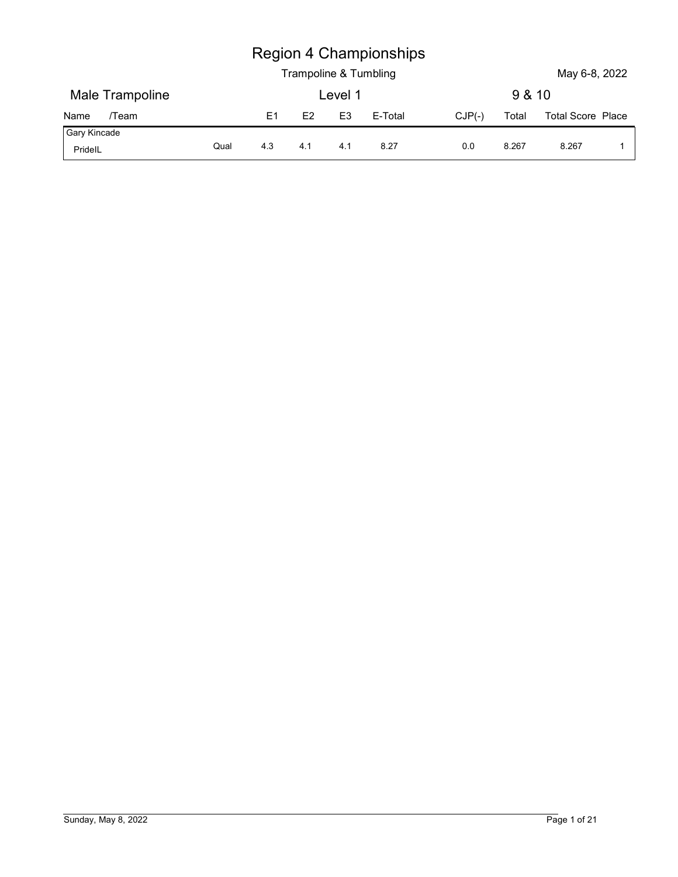|                         |      |                |     |                | <b>Region 4 Championships</b><br>Trampoline & Tumbling |          |        | May 6-8, 2022            |                         |
|-------------------------|------|----------------|-----|----------------|--------------------------------------------------------|----------|--------|--------------------------|-------------------------|
| Male Trampoline         |      |                |     | Level 1        |                                                        |          | 9 & 10 |                          |                         |
| /Team<br>Name           |      | E <sub>1</sub> | E2  | E <sub>3</sub> | E-Total                                                | $CJP(-)$ | Total  | <b>Total Score Place</b> |                         |
| Gary Kincade<br>PridelL | Qual | 4.3            | 4.1 | 4.1            | 8.27                                                   | 0.0      | 8.267  | 8.267                    | $\overline{\mathbf{1}}$ |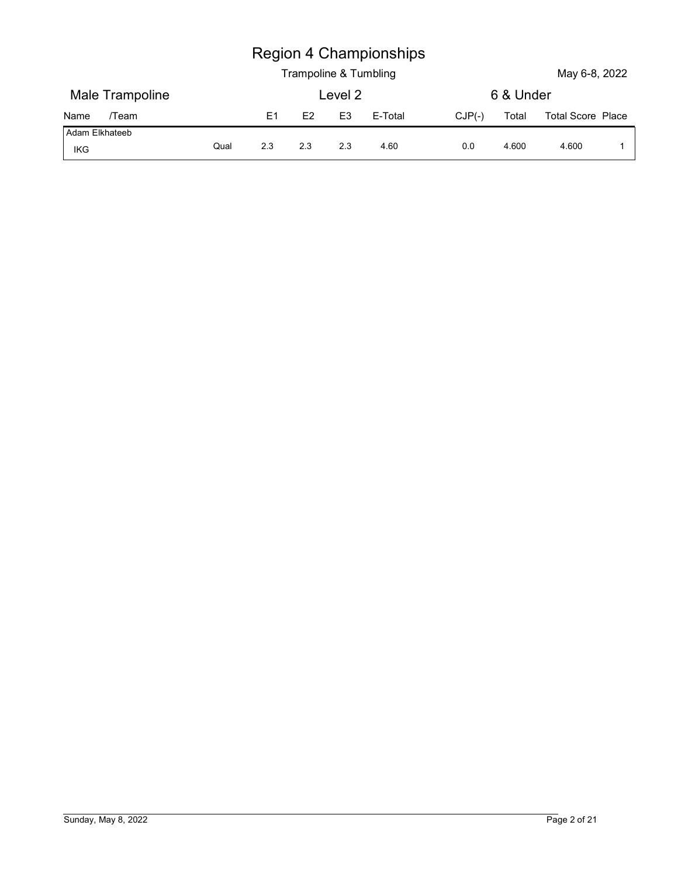|                       |      |                |                |                | <b>Region 4 Championships</b><br>Trampoline & Tumbling |          |           | May 6-8, 2022            |   |
|-----------------------|------|----------------|----------------|----------------|--------------------------------------------------------|----------|-----------|--------------------------|---|
| Male Trampoline       |      |                |                | Level 2        |                                                        |          | 6 & Under |                          |   |
| /Team<br>Name         |      | E <sub>1</sub> | E <sub>2</sub> | E <sub>3</sub> | E-Total                                                | $CJP(-)$ | Total     | <b>Total Score Place</b> |   |
| Adam Elkhateeb<br>IKG | Qual | $2.3$          | 2.3            | 2.3            | 4.60                                                   | $0.0\,$  | 4.600     | 4.600                    | 1 |
|                       |      |                |                |                |                                                        |          |           |                          |   |
|                       |      |                |                |                |                                                        |          |           |                          |   |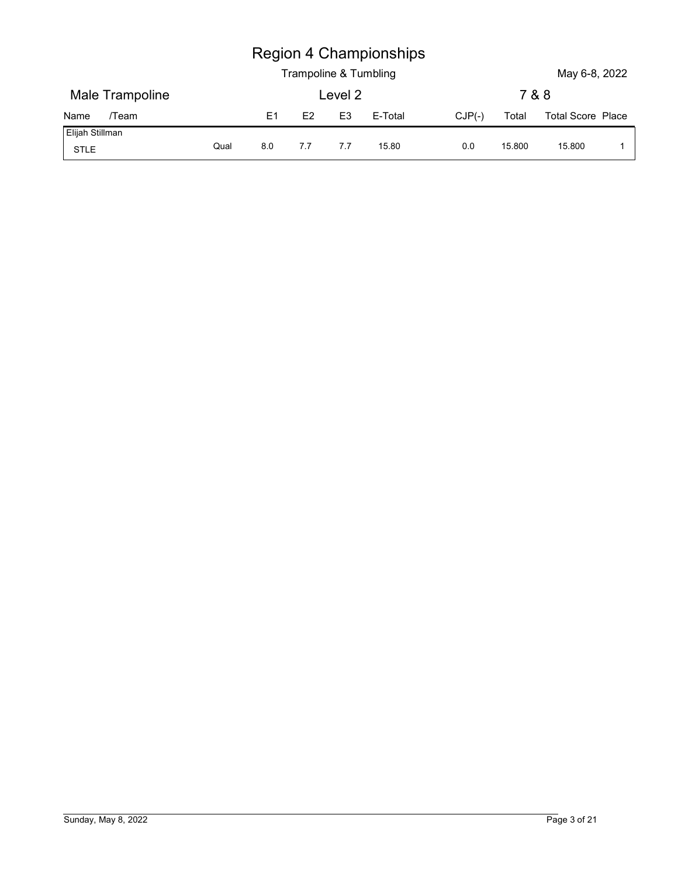| <b>Region 4 Championships</b><br>Trampoline & Tumbling<br>May 6-8, 2022<br>Male Trampoline<br>Level 2<br>7 & 8 |                         |                |    |                |         |          |       |                   |  |
|----------------------------------------------------------------------------------------------------------------|-------------------------|----------------|----|----------------|---------|----------|-------|-------------------|--|
|                                                                                                                |                         |                |    |                |         |          |       |                   |  |
|                                                                                                                |                         |                |    |                |         |          |       |                   |  |
|                                                                                                                |                         |                |    |                |         |          |       |                   |  |
|                                                                                                                |                         |                |    |                |         |          |       |                   |  |
|                                                                                                                |                         |                |    |                |         |          |       |                   |  |
|                                                                                                                |                         |                |    |                |         |          |       |                   |  |
|                                                                                                                |                         |                |    |                |         |          |       |                   |  |
|                                                                                                                |                         |                |    |                |         |          |       |                   |  |
|                                                                                                                |                         |                |    |                |         |          |       |                   |  |
|                                                                                                                |                         |                |    |                |         |          |       |                   |  |
|                                                                                                                |                         |                |    |                |         |          |       |                   |  |
|                                                                                                                | /Team                   | E <sub>1</sub> | E2 | E <sub>3</sub> | E-Total | $CJP(-)$ | Total | Total Score Place |  |
| Qual<br>7.7<br>7.7<br>8.0<br>15.80<br>15.800<br>0.0<br>15.800<br>$\overline{1}$                                | Name<br>Elijah Stillman |                |    |                |         |          |       |                   |  |
| STLE                                                                                                           |                         |                |    |                |         |          |       |                   |  |
|                                                                                                                |                         |                |    |                |         |          |       |                   |  |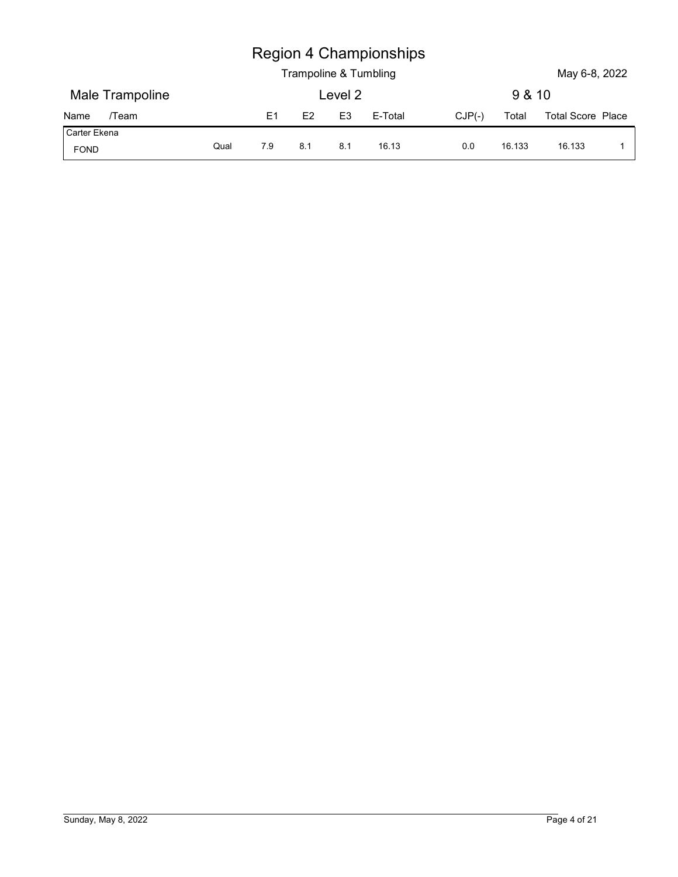|                              |      |                |     | Trampoline & Tumbling | <b>Region 4 Championships</b> |          |        | May 6-8, 2022     |                |
|------------------------------|------|----------------|-----|-----------------------|-------------------------------|----------|--------|-------------------|----------------|
| Male Trampoline              |      |                |     | Level 2               |                               |          | 9 & 10 |                   |                |
| /Team                        |      | E <sub>1</sub> | E2  | E <sub>3</sub>        | E-Total                       | $CJP(-)$ | Total  | Total Score Place |                |
| Name<br>Carter Ekena<br>FOND | Qual | $7.9$          | 8.1 | 8.1                   | 16.13                         | 0.0      | 16.133 | 16.133            | $\overline{1}$ |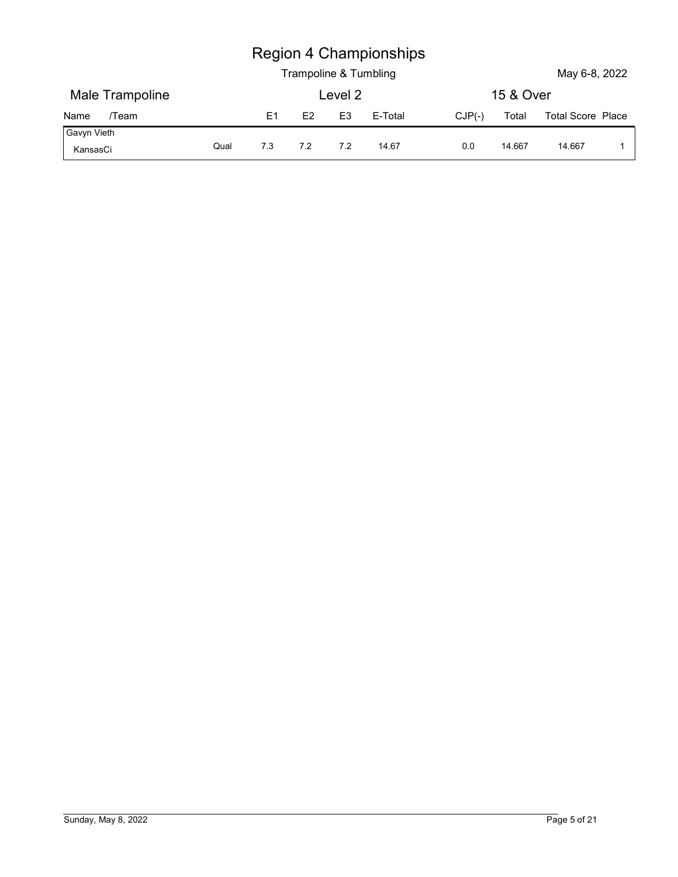|                         |      |                |                |                | <b>Region 4 Championships</b><br>Trampoline & Tumbling |          |           | May 6-8, 2022            |             |
|-------------------------|------|----------------|----------------|----------------|--------------------------------------------------------|----------|-----------|--------------------------|-------------|
| Male Trampoline         |      |                |                | Level 2        |                                                        |          | 15 & Over |                          |             |
| /Team<br>Name           |      | E <sub>1</sub> | E <sub>2</sub> | E <sub>3</sub> | E-Total                                                | $CJP(-)$ | Total     | <b>Total Score Place</b> |             |
| Gavyn Vieth<br>KansasCi | Qual | 7.3            | 7.2            | 7.2            | 14.67                                                  | $0.0\,$  | 14.667    | 14.667                   | $\mathbf 1$ |
|                         |      |                |                |                |                                                        |          |           |                          |             |
|                         |      |                |                |                |                                                        |          |           |                          |             |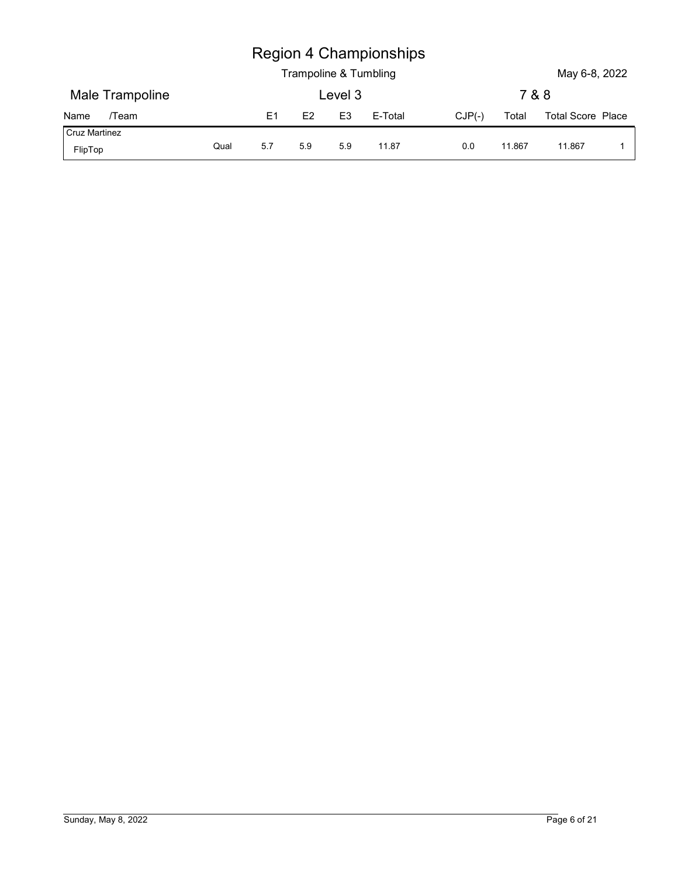|                      |      |                |                       |                | <b>Region 4 Championships</b> |          |        |                   |              |
|----------------------|------|----------------|-----------------------|----------------|-------------------------------|----------|--------|-------------------|--------------|
|                      |      |                | Trampoline & Tumbling |                |                               |          |        | May 6-8, 2022     |              |
| Male Trampoline      |      |                |                       | Level 3        |                               |          | 7 & 8  |                   |              |
| /Team<br>Name        |      | E <sub>1</sub> | E2                    | E <sub>3</sub> | E-Total                       | $CJP(-)$ | Total  | Total Score Place |              |
| <b>Cruz Martinez</b> | Qual | 5.7            | 5.9                   | 5.9            | 11.87                         | 0.0      | 11.867 | 11.867            | $\mathbf{1}$ |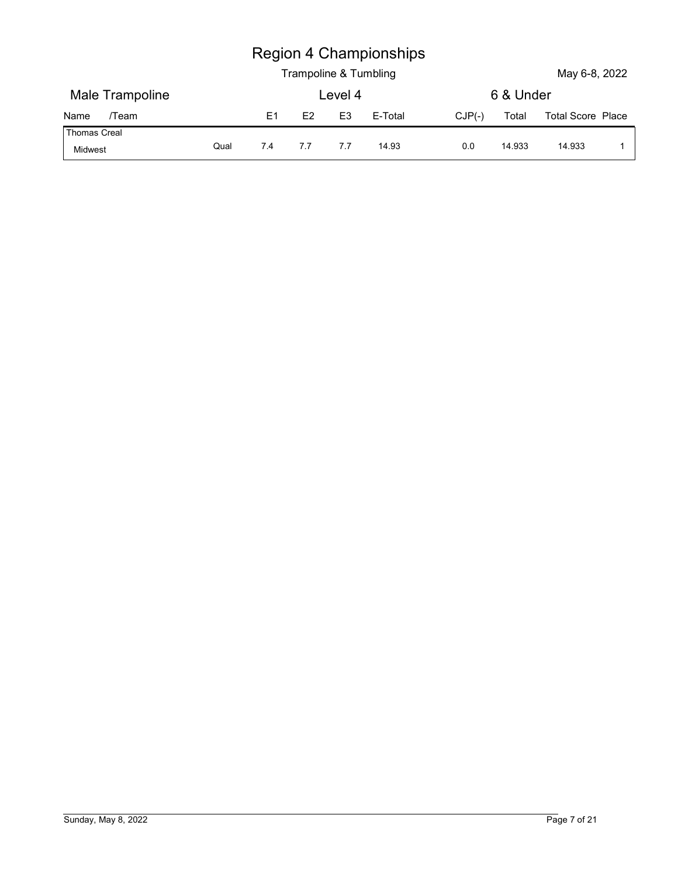| <b>Region 4 Championships</b> |  |
|-------------------------------|--|
|-------------------------------|--|

|                     |      |     |                       |                | <b>Region 4 Championships</b> |          |           |                   |              |
|---------------------|------|-----|-----------------------|----------------|-------------------------------|----------|-----------|-------------------|--------------|
|                     |      |     | Trampoline & Tumbling |                |                               |          |           | May 6-8, 2022     |              |
| Male Trampoline     |      |     |                       | Level 4        |                               |          | 6 & Under |                   |              |
| /Team<br>Name       |      | E1  | E2                    | E <sub>3</sub> | E-Total                       | $CJP(-)$ | Total     | Total Score Place |              |
| <b>Thomas Creal</b> | Qual | 7.4 | 7.7                   | 7.7            | 14.93                         | 0.0      | 14.933    | 14.933            | $\mathbf{1}$ |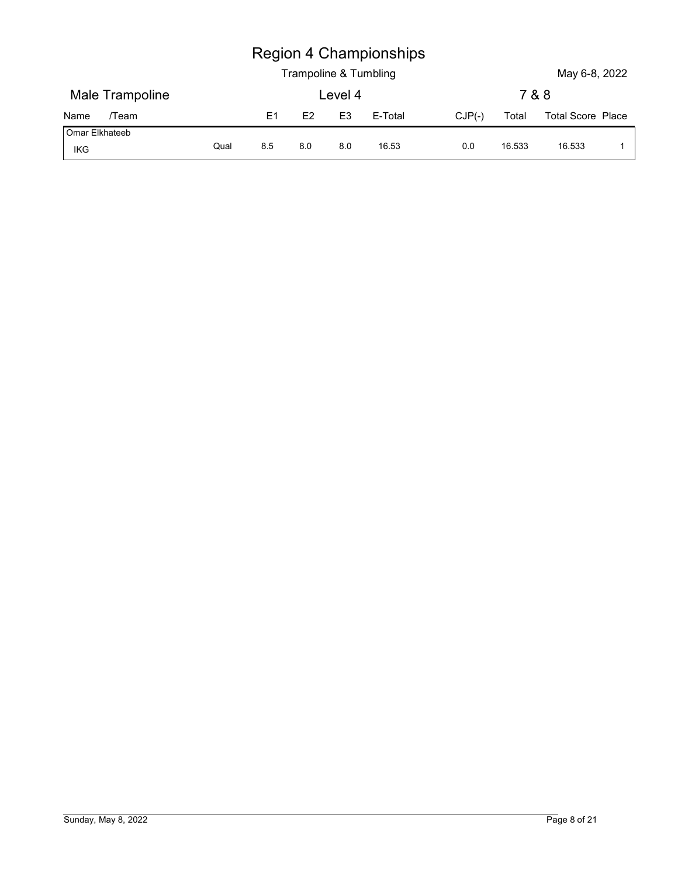|                               |      |                | Trampoline & Tumbling |                | <b>Region 4 Championships</b> |          |        | May 6-8, 2022     |              |
|-------------------------------|------|----------------|-----------------------|----------------|-------------------------------|----------|--------|-------------------|--------------|
| Male Trampoline               |      |                |                       | Level 4        |                               |          | 7 & 8  |                   |              |
| /Team                         |      | E <sub>1</sub> | E2                    | E <sub>3</sub> | E-Total                       | $CJP(-)$ | Total  | Total Score Place |              |
| Name<br>Omar Elkhateeb<br>IKG | Qual | 8.5            | 8.0                   | 8.0            | 16.53                         | 0.0      | 16.533 | 16.533            | $\mathbf{1}$ |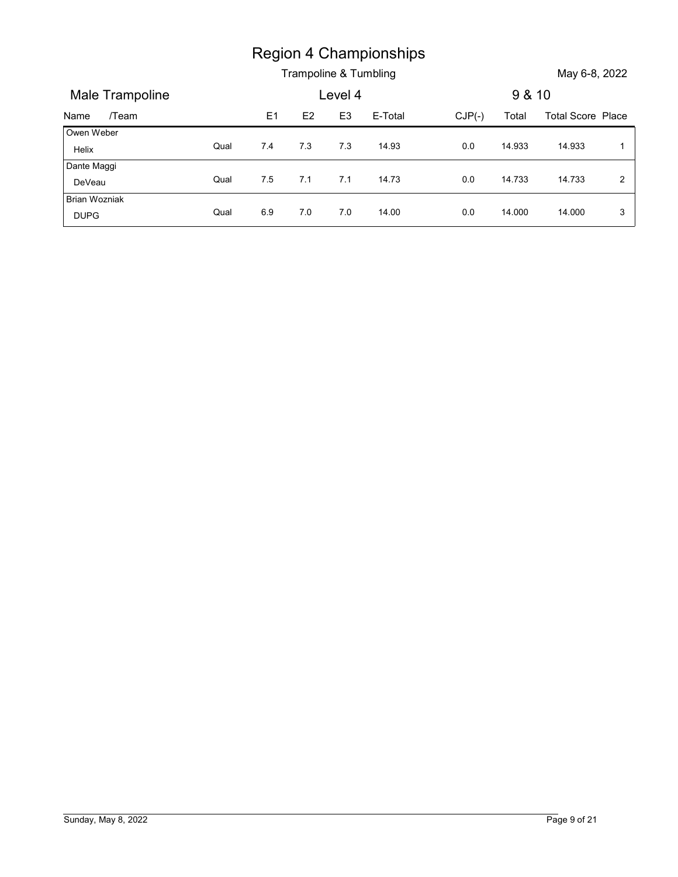|                       |      |     |     |                | <b>Region 4 Championships</b> |          |        |                          |                |
|-----------------------|------|-----|-----|----------------|-------------------------------|----------|--------|--------------------------|----------------|
|                       |      |     |     |                |                               |          |        |                          |                |
|                       |      |     |     |                | Trampoline & Tumbling         |          |        | May 6-8, 2022            |                |
| Male Trampoline       |      |     |     | Level 4        |                               |          | 9 & 10 |                          |                |
| /Team<br>Name         |      | E1  | E2  | E <sub>3</sub> | E-Total                       | $CJP(-)$ | Total  | <b>Total Score Place</b> |                |
| Owen Weber<br>Helix   | Qual | 7.4 | 7.3 | 7.3            | 14.93                         | 0.0      | 14.933 | 14.933                   | $\overline{1}$ |
| Dante Maggi<br>DeVeau | Qual | 7.5 | 7.1 | 7.1            | 14.73                         | $0.0\,$  | 14.733 | 14.733                   | $\overline{2}$ |
| <b>Brian Wozniak</b>  | Qual | 6.9 | 7.0 | 7.0            | 14.00                         | 0.0      | 14.000 | 14.000                   | $\mathbf{3}$   |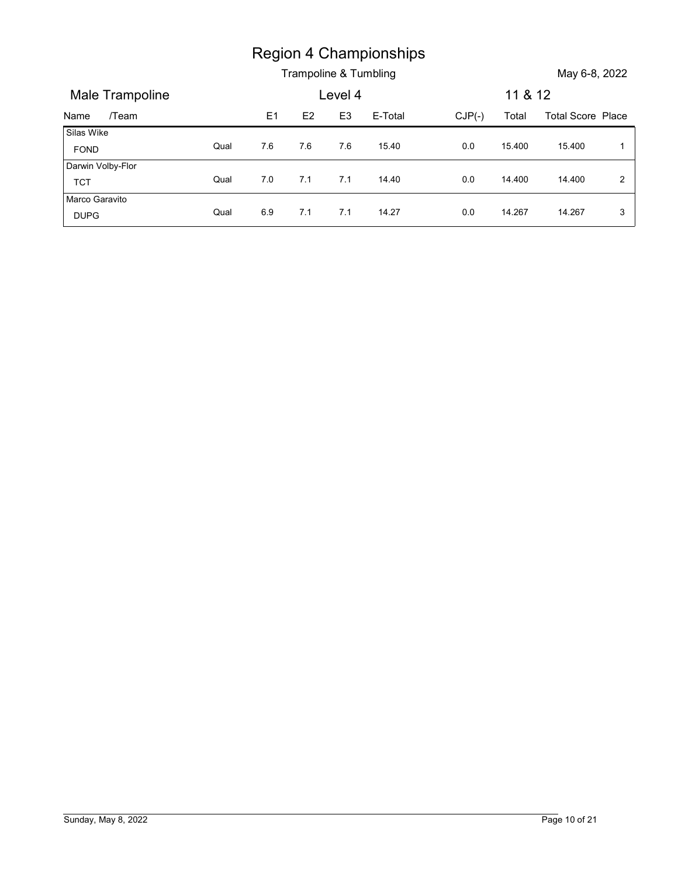|                                  |      |         |     |                           | <b>Region 4 Championships</b> |          |                  |                          |                |
|----------------------------------|------|---------|-----|---------------------------|-------------------------------|----------|------------------|--------------------------|----------------|
|                                  |      |         |     |                           | Trampoline & Tumbling         |          |                  | May 6-8, 2022            |                |
| Male Trampoline<br>/Team<br>Name |      | E1      | E2  | Level 4<br>E <sub>3</sub> | E-Total                       | $CJP(-)$ | 11 & 12<br>Total | <b>Total Score Place</b> |                |
| Silas Wike                       |      |         |     |                           |                               |          |                  |                          | $\overline{1}$ |
| FOND                             | Qual | $7.6\,$ | 7.6 | 7.6                       | 15.40                         | 0.0      | 15.400           | 15.400                   |                |
| Darwin Volby-Flor<br><b>TCT</b>  | Qual | $7.0\,$ | 7.1 | 7.1                       | 14.40                         | 0.0      | 14.400           | 14.400                   | $\overline{2}$ |
| Marco Garavito                   | Qual | 6.9     | 7.1 | 7.1                       | 14.27                         | 0.0      | 14.267           | 14.267                   | 3              |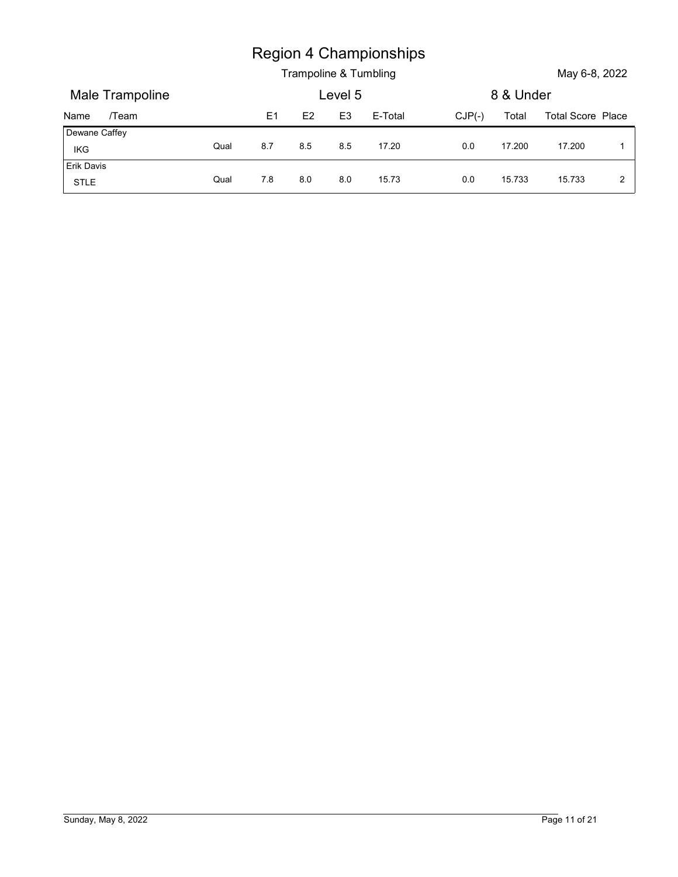|                   |      |                |     |                | <b>Region 4 Championships</b><br>Trampoline & Tumbling |     |                   | May 6-8, 2022     |
|-------------------|------|----------------|-----|----------------|--------------------------------------------------------|-----|-------------------|-------------------|
| Male Trampoline   |      |                |     | Level 5        |                                                        |     | 8 & Under         |                   |
| /Team<br>Name     |      | E <sub>1</sub> | E2  | E <sub>3</sub> | E-Total                                                |     | $CJP(-)$<br>Total | Total Score Place |
| Dewane Caffey     |      |                |     |                |                                                        |     |                   |                   |
| IKG<br>Erik Davis | Qual | 8.7            | 8.5 | 8.5            | 17.20                                                  | 0.0 | 17.200            | 17.200            |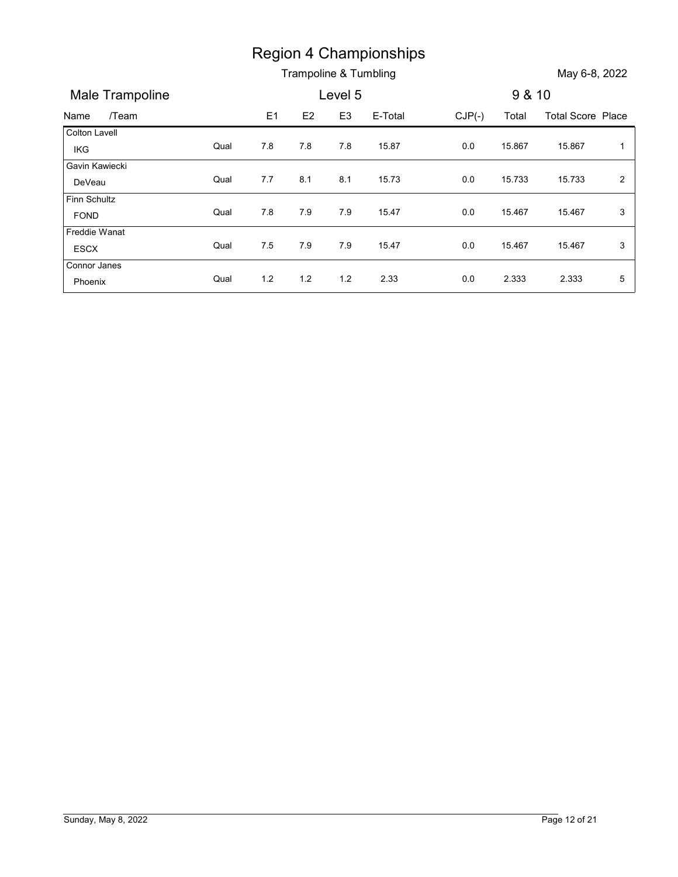|                      |      |     |     |                | <b>Region 4 Championships</b> |          |        |                          |                |
|----------------------|------|-----|-----|----------------|-------------------------------|----------|--------|--------------------------|----------------|
|                      |      |     |     |                | Trampoline & Tumbling         |          |        | May 6-8, 2022            |                |
| Male Trampoline      |      |     |     | Level 5        |                               |          | 9 & 10 |                          |                |
| /Team<br>Name        |      | E1  | E2  | E <sub>3</sub> | E-Total                       | $CJP(-)$ | Total  | <b>Total Score Place</b> |                |
| Colton Lavell        |      |     |     |                |                               |          |        |                          |                |
| IKG                  | Qual | 7.8 | 7.8 | 7.8            | 15.87                         | 0.0      | 15.867 | 15.867                   | $\mathbf{1}$   |
| Gavin Kawiecki       |      |     |     |                |                               |          |        |                          |                |
| DeVeau               | Qual | 7.7 | 8.1 | 8.1            | 15.73                         | 0.0      | 15.733 | 15.733                   | $\overline{2}$ |
|                      |      |     |     | 7.9            | 15.47                         | 0.0      | 15.467 | 15.467                   | $\mathfrak{S}$ |
| Finn Schultz         |      |     |     |                |                               |          |        |                          |                |
| FOND                 | Qual | 7.8 | 7.9 |                |                               |          |        |                          |                |
| Freddie Wanat        | Qual | 7.5 | 7.9 | 7.9            | 15.47                         | 0.0      | 15.467 | 15.467                   | $\mathfrak{S}$ |
| ESCX<br>Connor Janes |      |     |     |                |                               |          |        |                          |                |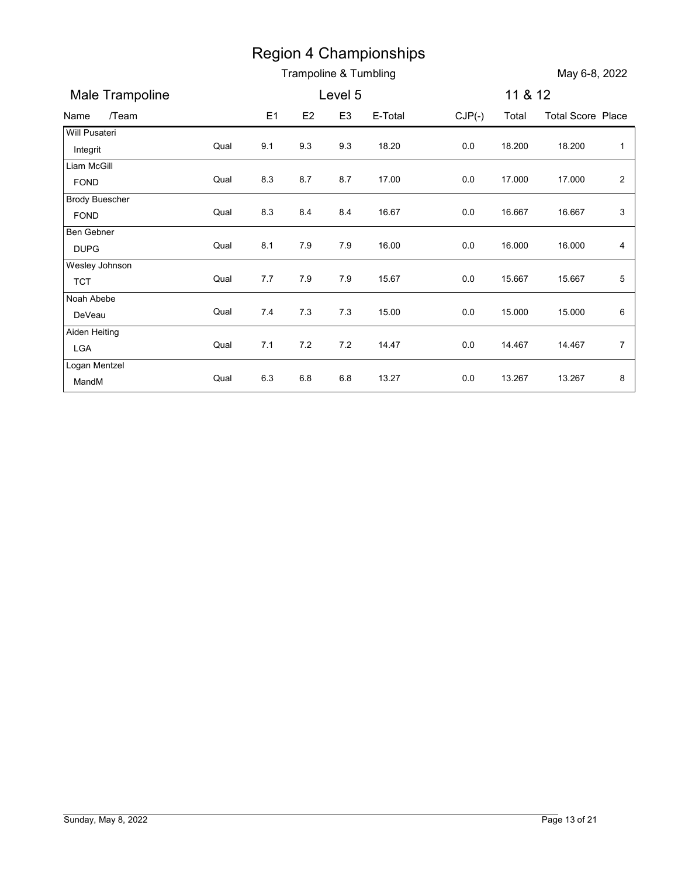|                                      |      |       |         |                | <b>Region 4 Championships</b> |          |         |                          |                         |
|--------------------------------------|------|-------|---------|----------------|-------------------------------|----------|---------|--------------------------|-------------------------|
|                                      |      |       |         |                | Trampoline & Tumbling         |          |         | May 6-8, 2022            |                         |
| Male Trampoline                      |      |       |         | Level 5        |                               |          | 11 & 12 |                          |                         |
| /Team<br>Name                        |      | E1    | E2      | E <sub>3</sub> | E-Total                       | $CJP(-)$ | Total   | <b>Total Score Place</b> |                         |
| Will Pusateri                        |      |       |         |                |                               |          |         |                          |                         |
| Integrit                             | Qual | 9.1   | 9.3     | 9.3            | 18.20                         | 0.0      | 18.200  | 18.200                   | $\mathbf{1}$            |
| Liam McGill                          | Qual | 8.3   | 8.7     | 8.7            | 17.00                         | 0.0      | 17.000  | 17.000                   | $\overline{\mathbf{c}}$ |
| <b>FOND</b><br><b>Brody Buescher</b> |      |       |         |                |                               |          |         |                          |                         |
| <b>FOND</b>                          | Qual | 8.3   | 8.4     | 8.4            | 16.67                         | 0.0      | 16.667  | 16.667                   | 3                       |
| Ben Gebner                           |      |       |         |                |                               |          |         |                          |                         |
| <b>DUPG</b>                          | Qual | 8.1   | 7.9     | 7.9            | 16.00                         | 0.0      | 16.000  | 16.000                   | 4                       |
| Wesley Johnson                       |      |       |         |                |                               |          |         |                          |                         |
| <b>TCT</b>                           | Qual | 7.7   | 7.9     | 7.9            | 15.67                         | 0.0      | 15.667  | 15.667                   | 5                       |
| Noah Abebe                           |      |       |         |                |                               |          |         |                          |                         |
| DeVeau                               | Qual | 7.4   | 7.3     | 7.3            | 15.00                         | 0.0      | 15.000  | 15.000                   | 6                       |
| Aiden Heiting                        | Qual | $7.1$ | 7.2     | 7.2            | 14.47                         | $0.0\,$  | 14.467  | 14.467                   | $\overline{7}$          |
| LGA                                  |      |       |         |                |                               |          |         |                          |                         |
|                                      |      | 6.3   | $6.8\,$ | 6.8            | 13.27                         | $0.0\,$  | 13.267  | 13.267                   | $\bf 8$                 |
| Logan Mentzel<br>MandM               | Qual |       |         |                |                               |          |         |                          |                         |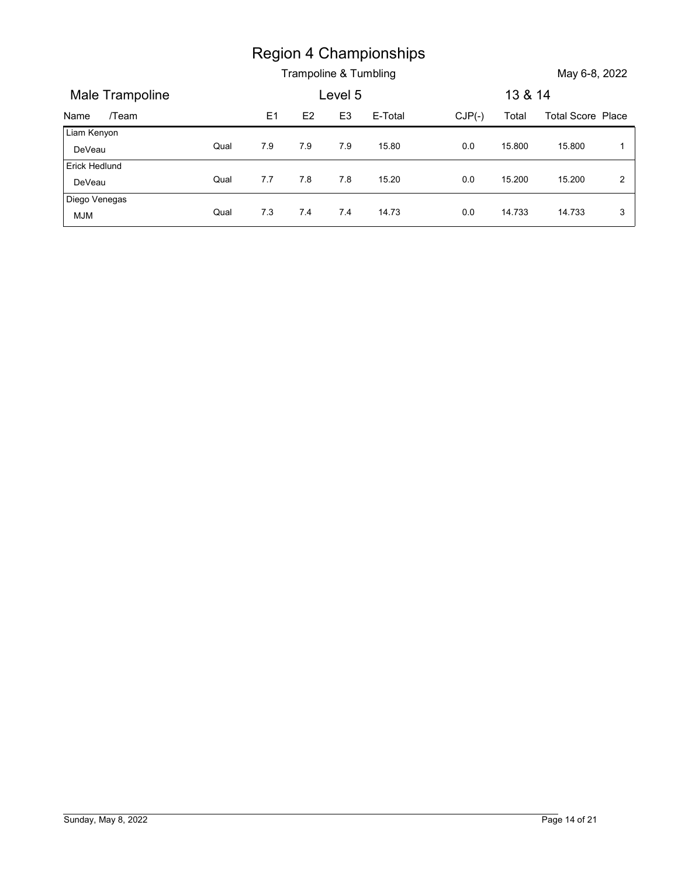|                                  |      |     |     |                | <b>Region 4 Championships</b> |          |         |                          |                |
|----------------------------------|------|-----|-----|----------------|-------------------------------|----------|---------|--------------------------|----------------|
|                                  |      |     |     | Level 5        | Trampoline & Tumbling         |          | 13 & 14 | May 6-8, 2022            |                |
| Male Trampoline<br>/Team<br>Name |      | E1  | E2  | E <sub>3</sub> | E-Total                       | $CJP(-)$ | Total   | <b>Total Score Place</b> |                |
| Liam Kenyon                      | Qual | 7.9 | 7.9 | 7.9            | 15.80                         | 0.0      | 15.800  | 15.800                   | $\mathbf 1$    |
| DeVeau<br>Erick Hedlund          |      |     |     |                |                               |          |         |                          |                |
| DeVeau                           | Qual | 7.7 | 7.8 | 7.8            | 15.20                         | $0.0\,$  | 15.200  | 15.200                   | $\overline{2}$ |
| Diego Venegas                    | Qual | 7.3 | 7.4 | 7.4            | 14.73                         | 0.0      | 14.733  | 14.733                   | 3              |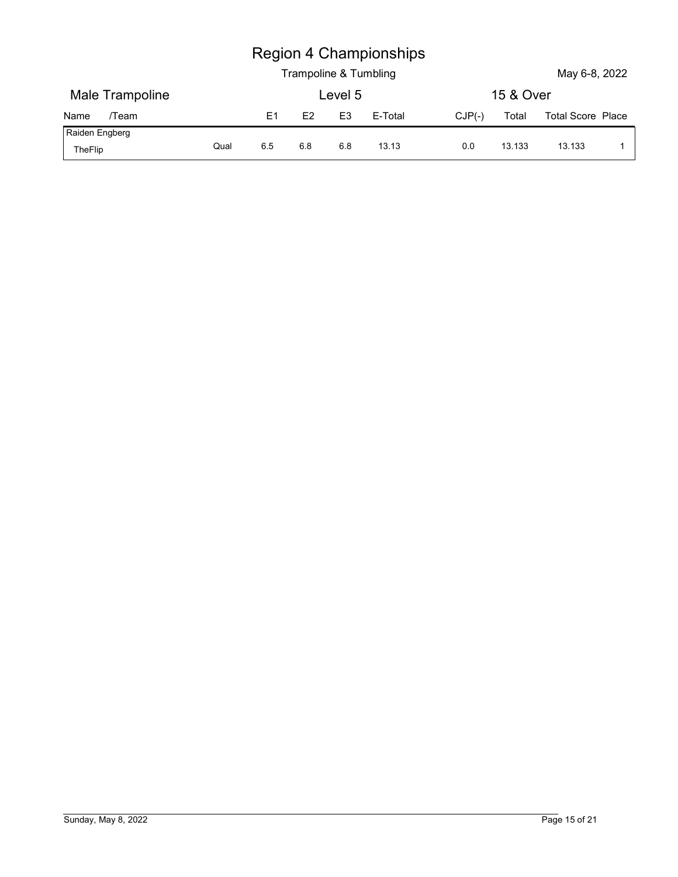| <b>Region 4 Championships</b> |  |
|-------------------------------|--|
|-------------------------------|--|

|                 |      |     |                       |                | <b>Region 4 Championships</b> |          |           |                   |              |
|-----------------|------|-----|-----------------------|----------------|-------------------------------|----------|-----------|-------------------|--------------|
|                 |      |     | Trampoline & Tumbling |                |                               |          |           | May 6-8, 2022     |              |
| Male Trampoline |      |     |                       | Level 5        |                               |          | 15 & Over |                   |              |
| /Team<br>Name   |      | E1  | E2                    | E <sub>3</sub> | E-Total                       | $CJP(-)$ | Total     | Total Score Place |              |
| Raiden Engberg  | Qual | 6.5 | 6.8                   | 6.8            | 13.13                         | 0.0      | 13.133    | 13.133            | $\mathbf{1}$ |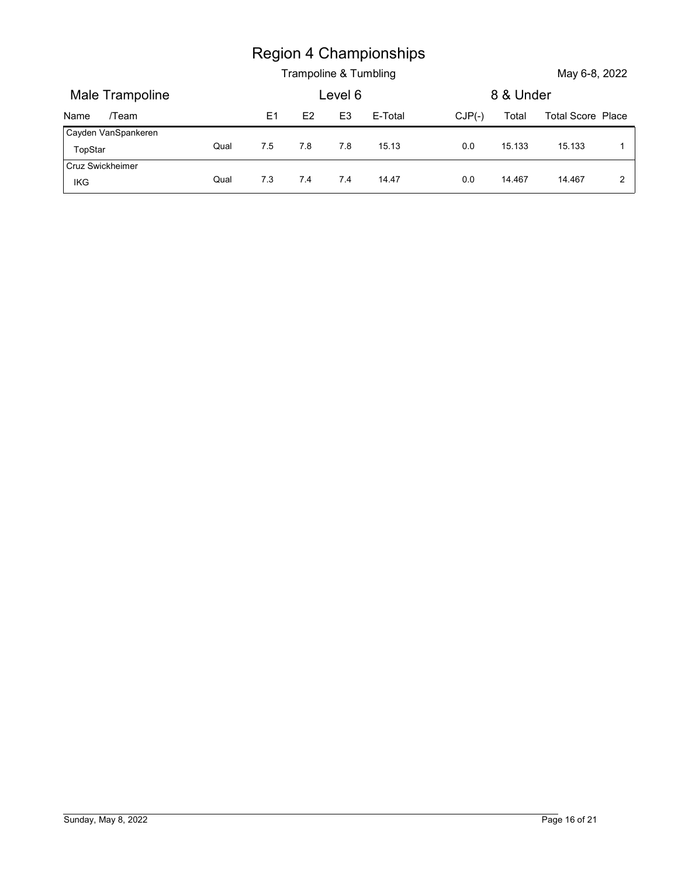|                                |      |     | Trampoline & Tumbling |                | <b>Region 4 Championships</b> |          |           | May 6-8, 2022            |                |
|--------------------------------|------|-----|-----------------------|----------------|-------------------------------|----------|-----------|--------------------------|----------------|
| Male Trampoline                |      |     |                       | Level 6        |                               |          | 8 & Under |                          |                |
| /Team<br>Name                  |      | E1  | E2                    | E <sub>3</sub> | E-Total                       | $CJP(-)$ | Total     | <b>Total Score Place</b> |                |
| Cayden VanSpankeren<br>TopStar | Qual | 7.5 | $7.8$                 | 7.8            | 15.13                         | $0.0\,$  | 15.133    | 15.133                   | $\mathbf{1}$   |
| Cruz Swickheimer               | Qual | 7.3 | 7.4                   | 7.4            | 14.47                         | 0.0      | 14.467    | 14.467                   | $\overline{2}$ |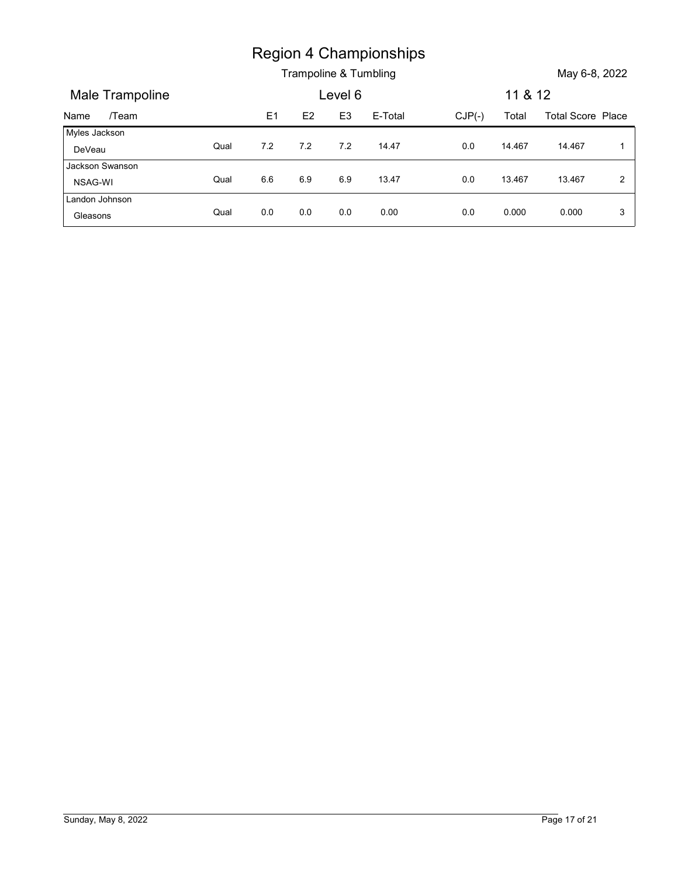|                           |      |     |                       |                | <b>Region 4 Championships</b> |          |         |                          |                |
|---------------------------|------|-----|-----------------------|----------------|-------------------------------|----------|---------|--------------------------|----------------|
|                           |      |     | Trampoline & Tumbling |                |                               |          |         | May 6-8, 2022            |                |
| Male Trampoline           |      |     |                       | Level 6        |                               |          | 11 & 12 |                          |                |
| /Team<br>Name             |      | E1  | E2                    | E <sub>3</sub> | E-Total                       | $CJP(-)$ | Total   | <b>Total Score Place</b> |                |
| Myles Jackson<br>DeVeau   | Qual | 7.2 | 7.2                   | 7.2            | 14.47                         | 0.0      | 14.467  | 14.467                   | $\overline{1}$ |
| Jackson Swanson           |      |     |                       |                |                               |          |         |                          |                |
| NSAG-WI<br>Landon Johnson | Qual | 6.6 | 6.9                   | 6.9            | 13.47                         | $0.0\,$  | 13.467  | 13.467                   | $\overline{2}$ |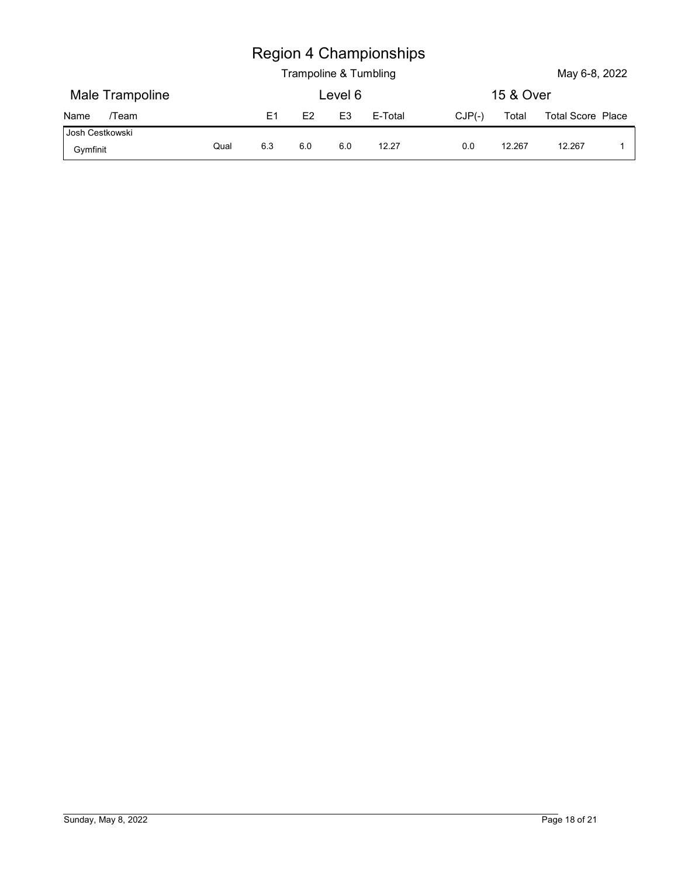|                             |      |                |                |                | <b>Region 4 Championships</b> |          |           |                          |             |
|-----------------------------|------|----------------|----------------|----------------|-------------------------------|----------|-----------|--------------------------|-------------|
|                             |      |                |                |                | Trampoline & Tumbling         |          |           | May 6-8, 2022            |             |
| Male Trampoline             |      |                |                | Level 6        |                               |          | 15 & Over |                          |             |
| /Team<br>Name               |      | E <sub>1</sub> | E <sub>2</sub> | E <sub>3</sub> | E-Total                       | $CJP(-)$ | Total     | <b>Total Score Place</b> |             |
| Josh Cestkowski<br>Gymfinit | Qual | 6.3            | 6.0            | 6.0            | 12.27                         | $0.0\,$  | 12.267    | 12.267                   | $\mathbf 1$ |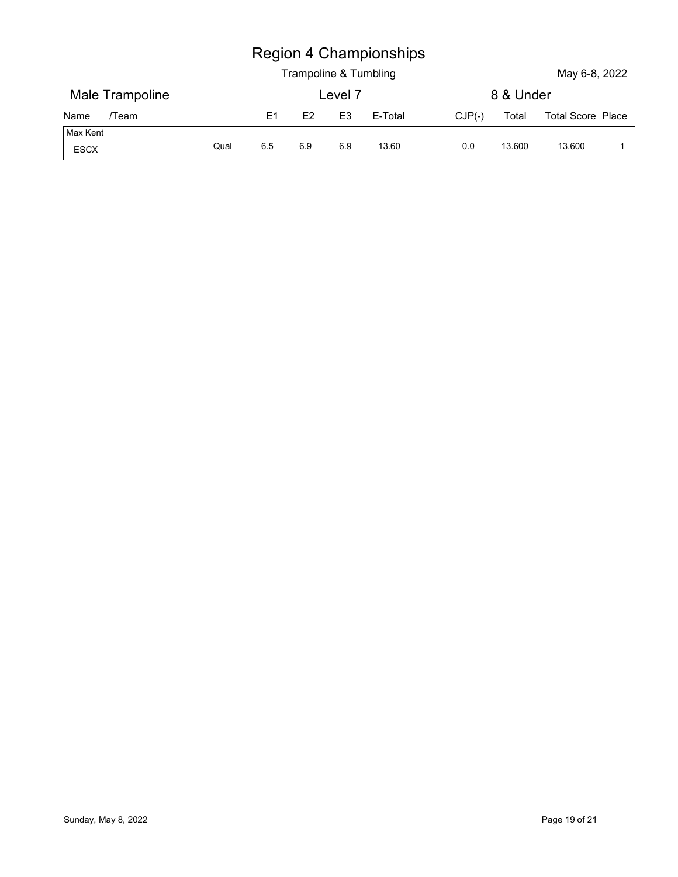| <b>Region 4 Championships</b> |  |
|-------------------------------|--|
|-------------------------------|--|

|                  |      |                | Trampoline & Tumbling |                | <b>Region 4 Championships</b> |          |           | May 6-8, 2022     |              |
|------------------|------|----------------|-----------------------|----------------|-------------------------------|----------|-----------|-------------------|--------------|
| Male Trampoline  |      |                |                       | Level 7        |                               |          | 8 & Under |                   |              |
| /Team<br>Name    |      | E <sub>1</sub> | E2                    | E <sub>3</sub> | E-Total                       | $CJP(-)$ | Total     | Total Score Place |              |
| Max Kent<br>ESCX | Qual | 6.5            | 6.9                   | 6.9            | 13.60                         | 0.0      | 13.600    | 13.600            | $\mathbf{1}$ |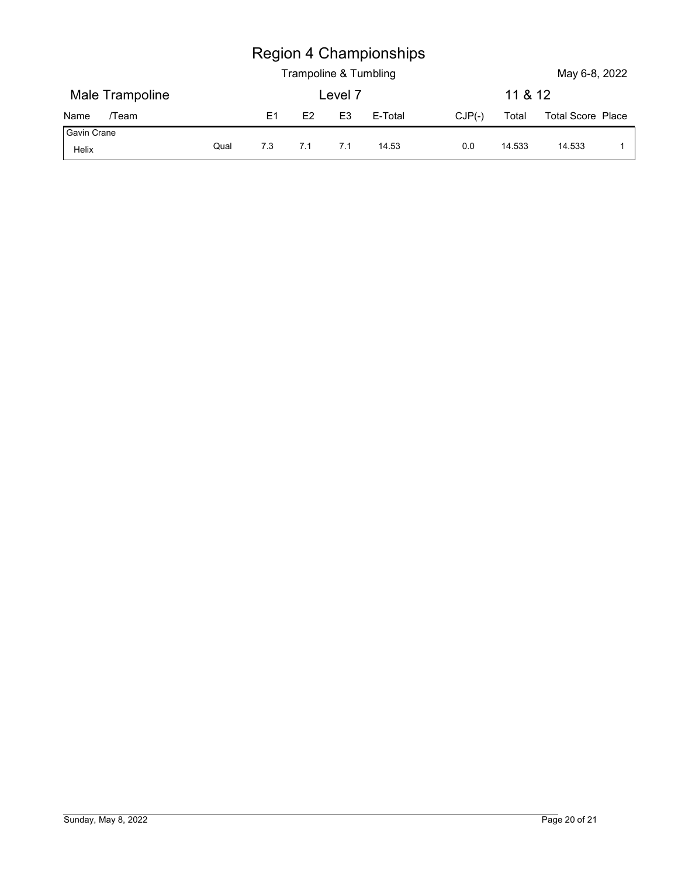|                              |      |       |     | Trampoline & Tumbling | <b>Region 4 Championships</b> |          |         | May 6-8, 2022     |             |
|------------------------------|------|-------|-----|-----------------------|-------------------------------|----------|---------|-------------------|-------------|
| Male Trampoline              |      |       |     | Level 7               |                               |          | 11 & 12 |                   |             |
| /Team                        |      | E1    | E2  | E <sub>3</sub>        | E-Total                       | $CJP(-)$ | Total   | Total Score Place |             |
| Name<br>Gavin Crane<br>Helix | Qual | $7.3$ | 7.1 | 7.1                   | 14.53                         | 0.0      | 14.533  | 14.533            | $\mathbf 1$ |